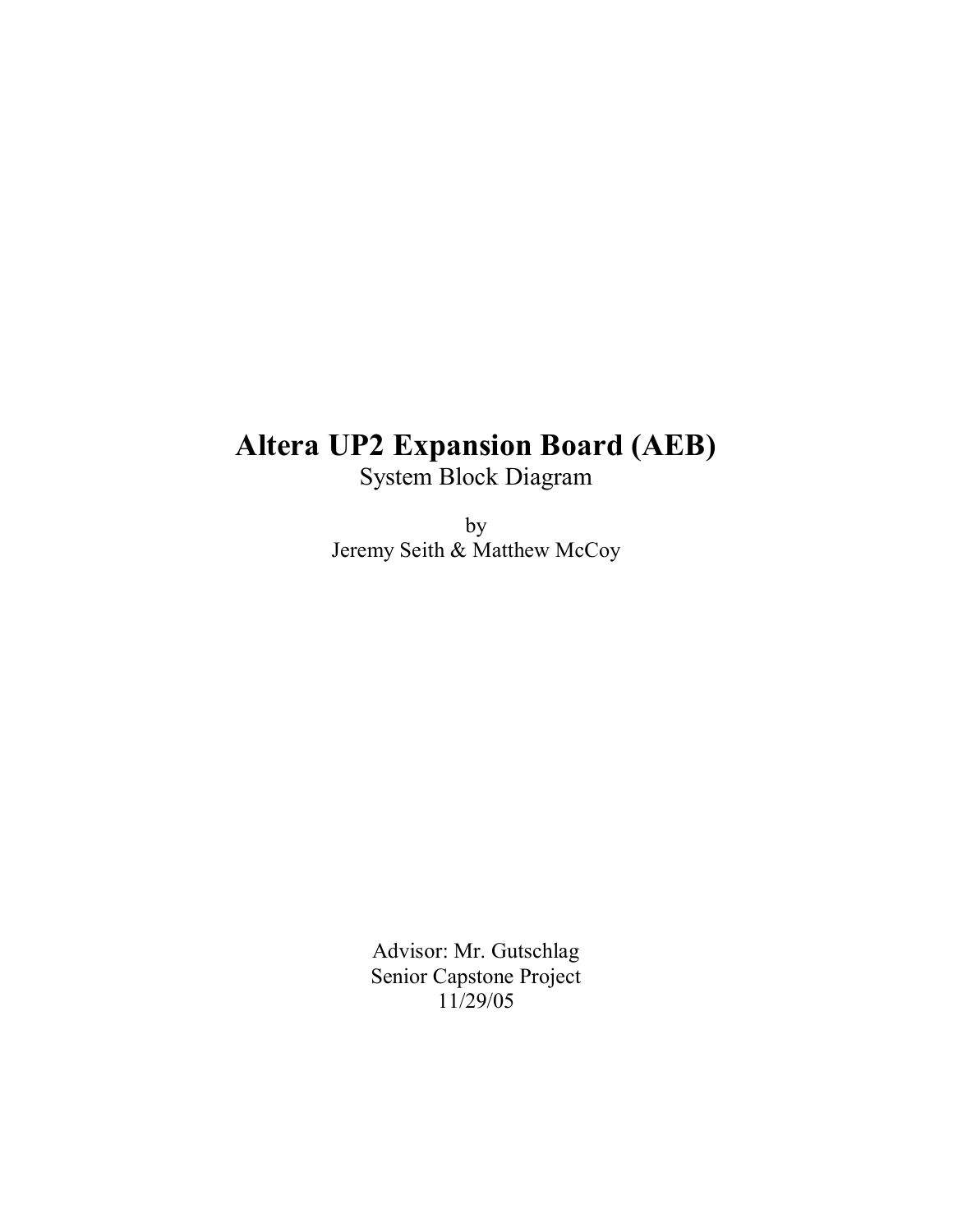# **Altera UP2 Expansion Board (AEB)**

System Block Diagram

by Jeremy Seith & Matthew McCoy

> Advisor: Mr. Gutschlag Senior Capstone Project 11/29/05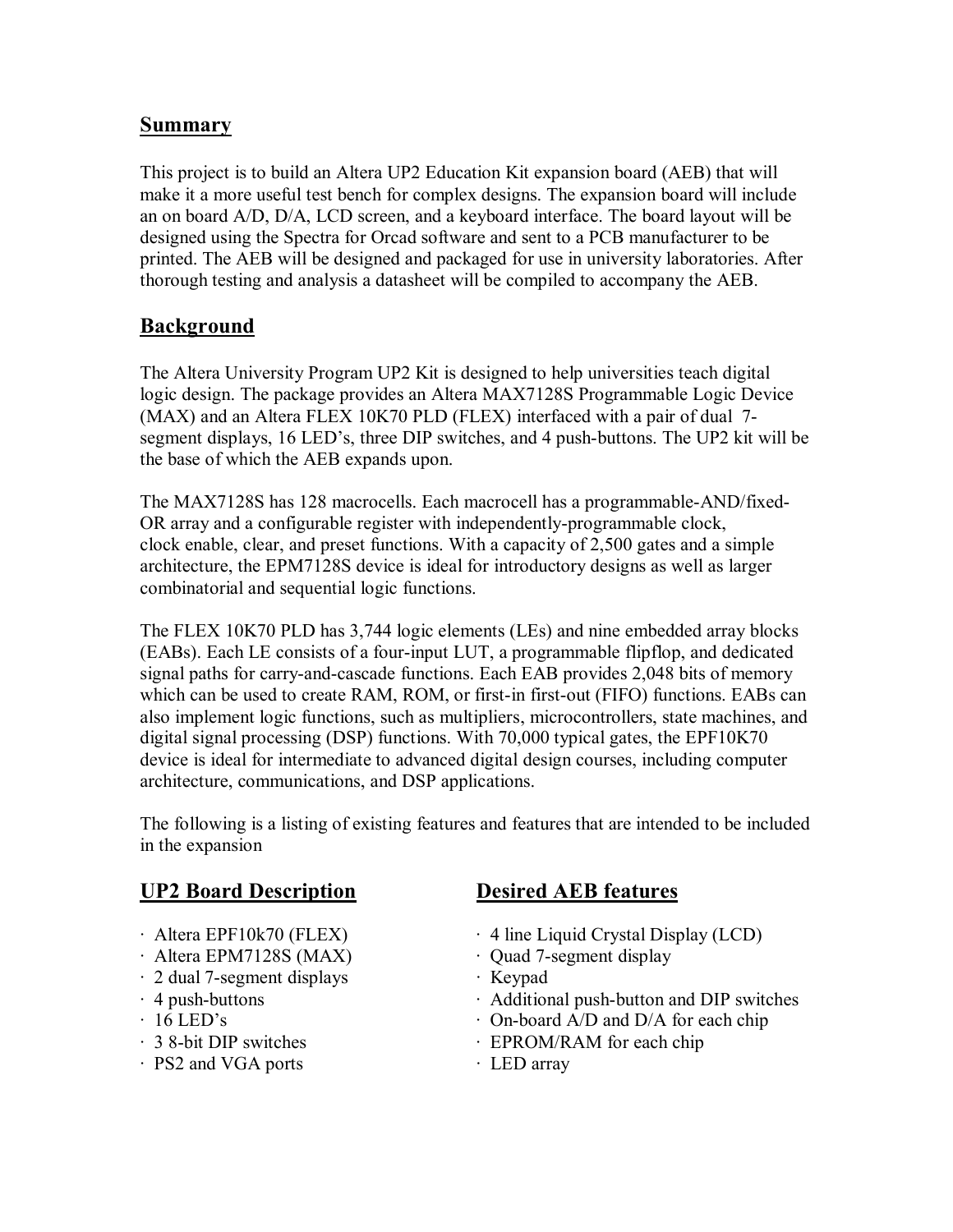# **Summary**

This project is to build an Altera UP2 Education Kit expansion board (AEB) that will make it a more useful test bench for complex designs. The expansion board will include an on board A/D, D/A, LCD screen, and a keyboard interface. The board layout will be designed using the Spectra for Orcad software and sent to a PCB manufacturer to be printed. The AEB will be designed and packaged for use in university laboratories. After thorough testing and analysis a datasheet will be compiled to accompany the AEB.

# **Background**

The Altera University Program UP2 Kit is designed to help universities teach digital logic design. The package provides an Altera MAX7128S Programmable Logic Device (MAX) and an Altera FLEX 10K70 PLD (FLEX) interfaced with a pair of dual 7 segment displays, 16 LED's, three DIP switches, and 4 push-buttons. The UP2 kit will be the base of which the AEB expands upon.

The MAX7128S has 128 macrocells. Each macrocell has a programmable-AND/fixed-OR array and a configurable register with independently-programmable clock, clock enable, clear, and preset functions. With a capacity of 2,500 gates and a simple architecture, the EPM7128S device is ideal for introductory designs as well as larger combinatorial and sequential logic functions.

The FLEX 10K70 PLD has 3,744 logic elements (LEs) and nine embedded array blocks (EABs). Each LE consists of a four-input LUT, a programmable flipflop, and dedicated signal paths for carry-and-cascade functions. Each EAB provides 2,048 bits of memory which can be used to create RAM, ROM, or first-in first-out (FIFO) functions. EABs can also implement logic functions, such as multipliers, microcontrollers, state machines, and digital signal processing (DSP) functions. With 70,000 typical gates, the EPF10K70 device is ideal for intermediate to advanced digital design courses, including computer architecture, communications, and DSP applications.

The following is a listing of existing features and features that are intended to be included in the expansion

# **UP2 Board Description Desired AEB features**

- 
- Altera EPM7128S (MAX) **·** Quad 7-segment display
- · 2 dual 7-segment displays · Keypad
- 
- 
- 
- PS2 and VGA ports **· LED** array

- · Altera EPF10k70 (FLEX) · 4 line Liquid Crystal Display (LCD)
	-
	-
- · 4 push-buttons · Additional push-button and DIP switches
- 16 LED's  **On-board A/D and D/A** for each chip
- · 3 8-bit DIP switches **· EPROM/RAM** for each chip
	-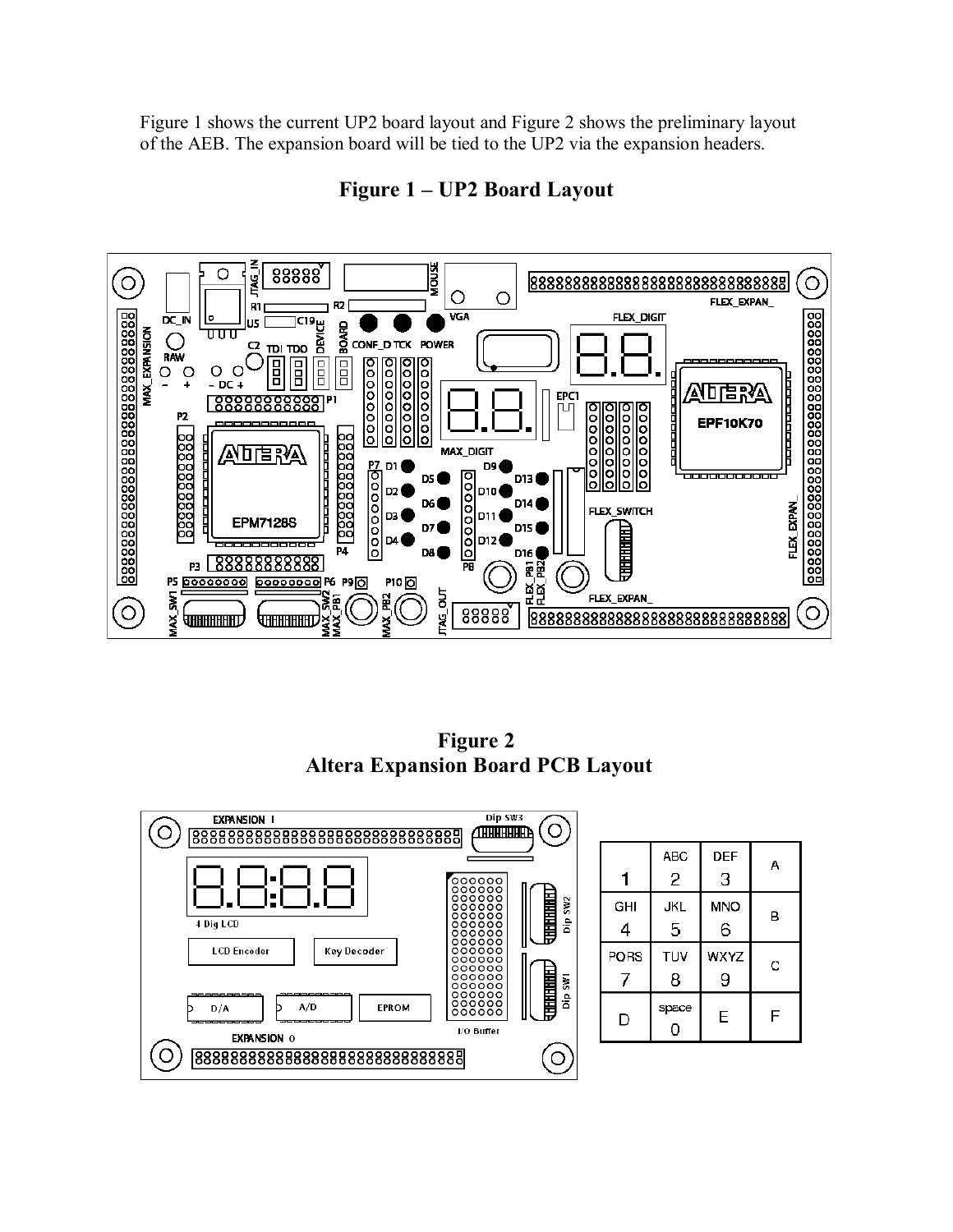Figure 1 shows the current UP2 board layout and Figure 2 shows the preliminary layout of the AEB. The expansion board will be tied to the UP2 via the expansion headers.



Figure 1 – UP2 Board Layout

**Figure 2 Altera Expansion Board PCB Layout** 



|      | <b>ABC</b> | <b>DEF</b>  | Α |
|------|------------|-------------|---|
| 1    | 2          | 3           |   |
| GHI  | JKL        | <b>MNO</b>  | в |
| 4    | 5          | 6           |   |
| PORS | TUV        | <b>WXYZ</b> | C |
|      | 8          | 9           |   |
| D    | space<br>0 | E           | F |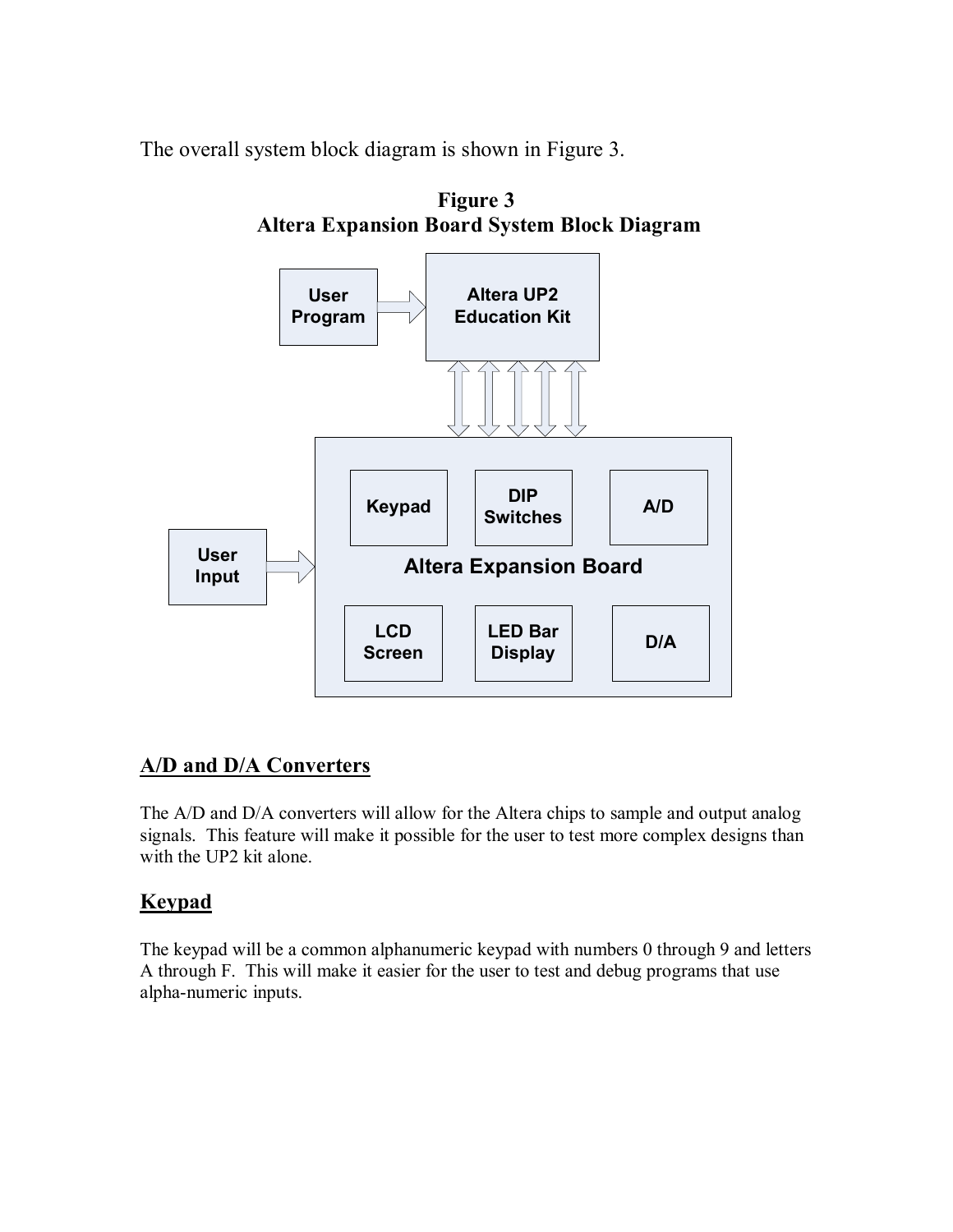The overall system block diagram is shown in Figure 3.



# **A/D and D/A Converters**

The A/D and D/A converters will allow for the Altera chips to sample and output analog signals. This feature will make it possible for the user to test more complex designs than with the UP2 kit alone.

# **Keypad**

The keypad will be a common alphanumeric keypad with numbers 0 through 9 and letters A through F. This will make it easier for the user to test and debug programs that use alpha-numeric inputs.